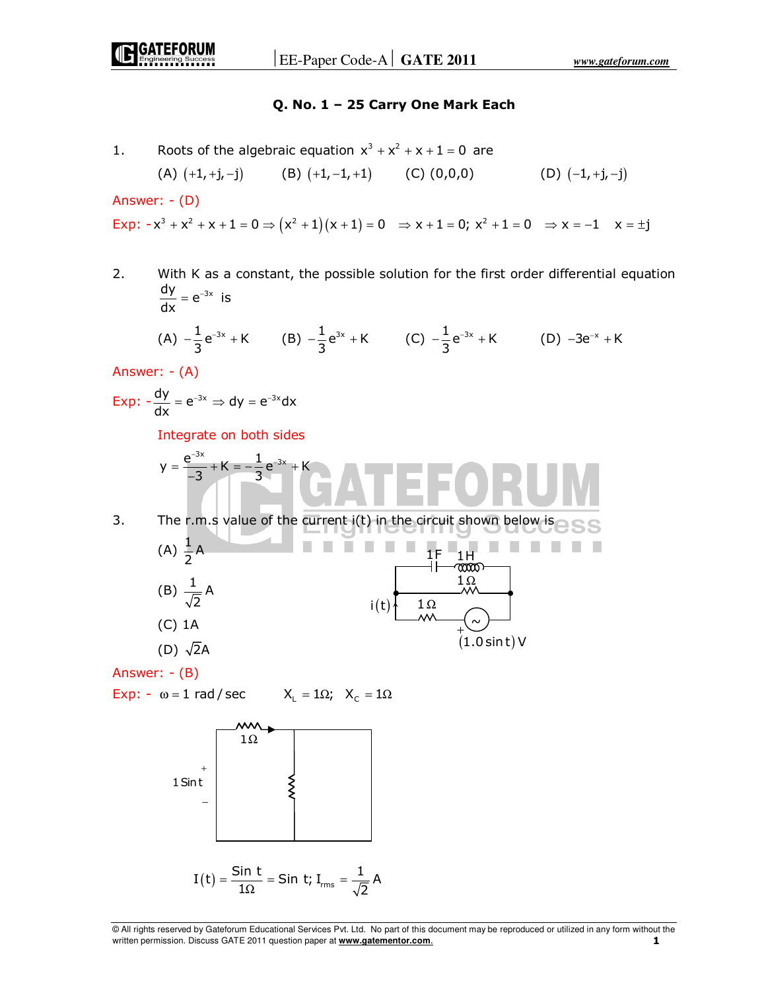## **Q. No. 1 – 25 Carry One Mark Each**

1. Roots of the algebraic equation  $x^3 + x^2 + x + 1 = 0$  are

(A) 
$$
(+1, +j, -j)
$$
 (B)  $(+1, -1, +1)$  (C)  $(0,0,0)$  (D)  $(-1, +j, -j)$ 

Answer: - (D)

Exp:  $-x^3 + x^2 + x + 1 = 0 \Rightarrow (x^2 + 1)(x + 1) = 0 \Rightarrow x + 1 = 0; x^2 + 1 = 0 \Rightarrow x = -1 \quad x = \pm i$ 

2. With K as a constant, the possible solution for the first order differential equation  $\frac{dy}{dx} = e^{-3x}$  $= e^{-3x}$  is (A)  $-\frac{1}{3}e^{-3x} + K$  $-\frac{1}{3}e^{-3x} + K$  (B)  $-\frac{1}{3}e^{3x} + K$  (C)  $-\frac{1}{3}e^{-3x} + K$  $-\frac{1}{2}e^{-3x} + K$  (D)  $-3e^{-x} + K$ Answer: - (A) Exp:  $-\frac{dy}{dx} = e^{-3x} \Rightarrow dy = e^{-3x} dx$  $= e^{-3x} \Rightarrow dy = e^{-x}$  Integrate on both sides  $=\frac{e^{-3x}}{-3}+K=-\frac{1}{3}e^{-3x}+$  $y = \frac{e^{-3x}}{-3} + K = -\frac{1}{3}e^{-3x} + K$ 3. The r.m.s value of the current i(t) in the circuit shown below is (A)  $\frac{1}{2}$ A  $\mathcal{L}_{\mathcal{A}}$  $\frac{1H}{0000}$ 1Ω (B)  $\frac{1}{\sqrt{2}}$  A 2  $i(t)$  1Ω (C) 1A  $\sim$ +  $(1.0 \sin t)$  V (D)  $\sqrt{2}A$ Answer: - (B) Exp: -  $\omega = 1$  rad / sec  $X_L = 1\Omega$ ;  $X_C = 1\Omega$ 1Ω + 1Sin t − $I(t) = \frac{\sin t}{10} = \sin t;$  $I_{rms} = \frac{1}{\sqrt{2}} A$  $=\frac{344 \text{ C}}{1 \Omega}$  = Sin t; I<sub>rms</sub> = 2

<sup>©</sup> All rights reserved by Gateforum Educational Services Pvt. Ltd. No part of this document may be reproduced or utilized in any form without the written permission. Discuss GATE 2011 question paper at **www.gatementor.com**. **1**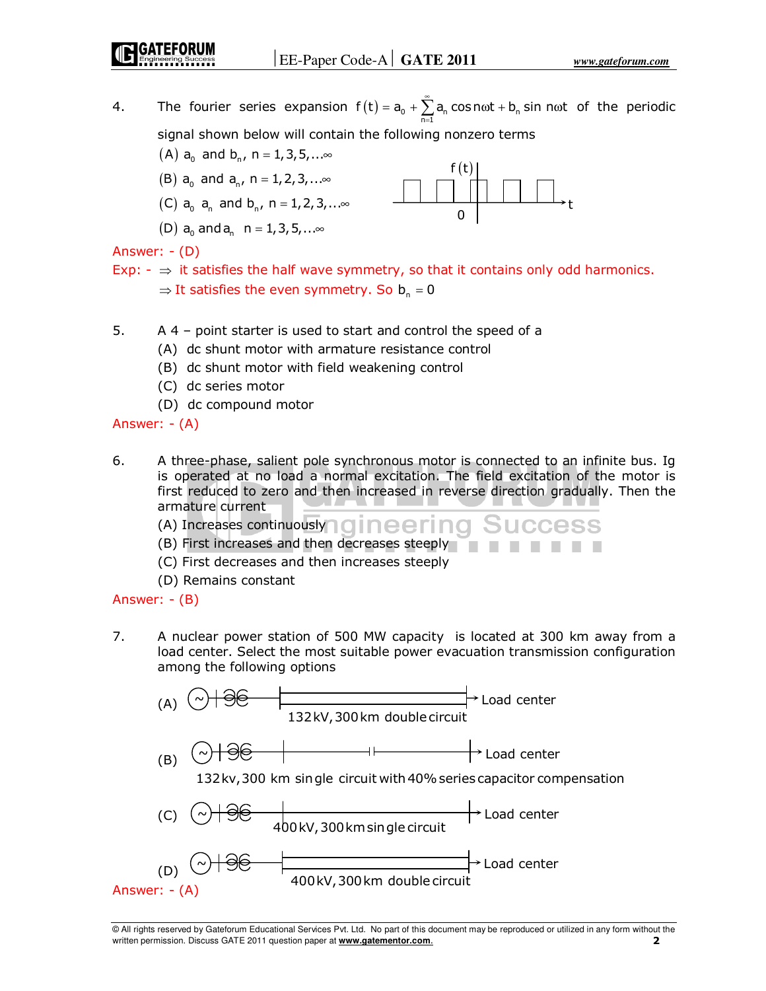t

4. The fourier series expansion  $f(t) = a_0 + \sum_{n=0}^{\infty} a_n \cos n\omega t + b_n \sin n\omega t$  of the periodic n=1 = signal shown below will contain the following nonzero terms

 $f(t)$ 

 $\Omega$ 

- (A)  $a_0$  and  $b_0$ , n = 1,3,5,... $\infty$
- (B)  $a_0$  and  $a_n$ , n = 1, 2, 3, ... $\infty$
- (C)  $a_0$   $a_n$  and  $b_n$ ,  $n = 1,2,3,...$
- (D)  $a_0$  and  $a_n$  n = 1, 3, 5, ... $\infty$

Answer: - (D)

- Exp:  $\Rightarrow$  it satisfies the half wave symmetry, so that it contains only odd harmonics.  $\Rightarrow$  It satisfies the even symmetry. So  $b_n = 0$
- 5. A 4 point starter is used to start and control the speed of a
	- (A) dc shunt motor with armature resistance control
	- (B) dc shunt motor with field weakening control
	- (C) dc series motor
	- (D) dc compound motor

Answer: - (A)

- 6. A three-phase, salient pole synchronous motor is connected to an infinite bus. Ig is operated at no load a normal excitation. The field excitation of the motor is first reduced to zero and then increased in reverse direction gradually. Then the armature current
	- (A) Increases continuously **QINCCINQ**
	- (B) First increases and then decreases steeply
	- (C) First decreases and then increases steeply
	- (D) Remains constant

# Answer: - (B)

7. A nuclear power station of 500 MW capacity is located at 300 km away from a load center. Select the most suitable power evacuation transmission configuration among the following options

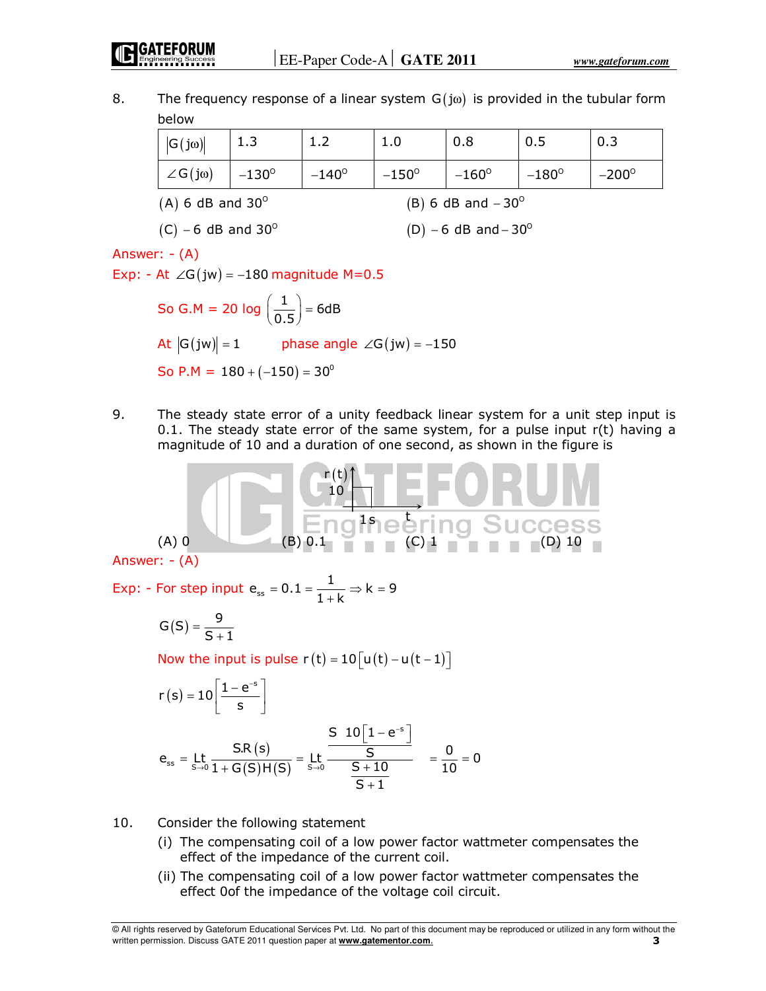8. The frequency response of a linear system  $G(i\omega)$  is provided in the tubular form below

| $ G(j\omega) $                                               | 1.3            | 1.2            | 1.0          | 0.8          | 0.5          | 0.3          |
|--------------------------------------------------------------|----------------|----------------|--------------|--------------|--------------|--------------|
| $\angle G(j\omega)$                                          | $-130^{\circ}$ | $-140^{\circ}$ | $-150^\circ$ | $-160^\circ$ | $-180^\circ$ | $-200^\circ$ |
| $(A)$ 6 dB and 30 <sup>o</sup><br>(B) 6 dB and $-30^{\circ}$ |                |                |              |              |              |              |

 $(C) - 6$  dB and 30<sup>o</sup> (D)  $(D) - 6$  dB and  $-30^{\circ}$ 

Answer: - (A)

Exp: - At  $\angle G(jw) = -180$  magnitude M=0.5

So G.M = 20 log  $\left(\frac{1}{0.5}\right)$  = 6dB  $\left(\frac{1}{0.5}\right)$  = At  $|G(jw)| = 1$  phase angle ∠ $G(jw) = -150$ So P.M =  $180 + (-150) = 30^{\circ}$ 

9. The steady state error of a unity feedback linear system for a unit step input is 0.1. The steady state error of the same system, for a pulse input  $r(t)$  having a magnitude of 10 and a duration of one second, as shown in the figure is

$$
(A) 0
$$
\n
$$
(B) 0.1
$$
\nAnswer: - (A)\n  
\nAnswer: - (A)\n  
\n(5) 0.1\n  
\n(B) 0.1\n  
\n(C) 1\n  
\n(D) 10

Answer: - (A)

Exp: - For step input  $e_{ss} = 0.1 = \frac{1}{1+k} \Rightarrow k = 9$  $= 0.1 = \frac{1}{1+k} \Rightarrow k =$ 

$$
G\left(S\right)=\frac{9}{S+1}
$$

Now the input is pulse  $r(t) = 10 \lceil u(t) - u(t-1) \rceil$ 

$$
r(s) = 10 \left[ \frac{1 - e^{-s}}{s} \right]
$$
  
\n
$$
e_{ss} = \text{Lt} \frac{S.R(s)}{1 + G(S)H(S)} = \text{Lt} \frac{S \ 10 \left[ 1 - e^{-s} \right]}{\frac{S}{S + 1}} = \frac{0}{10} = 0
$$

- 10. Consider the following statement
	- (i) The compensating coil of a low power factor wattmeter compensates the effect of the impedance of the current coil.
	- (ii) The compensating coil of a low power factor wattmeter compensates the effect 0of the impedance of the voltage coil circuit.

<sup>©</sup> All rights reserved by Gateforum Educational Services Pvt. Ltd. No part of this document may be reproduced or utilized in any form without the written permission. Discuss GATE 2011 question paper at **www.gatementor.com**. **3**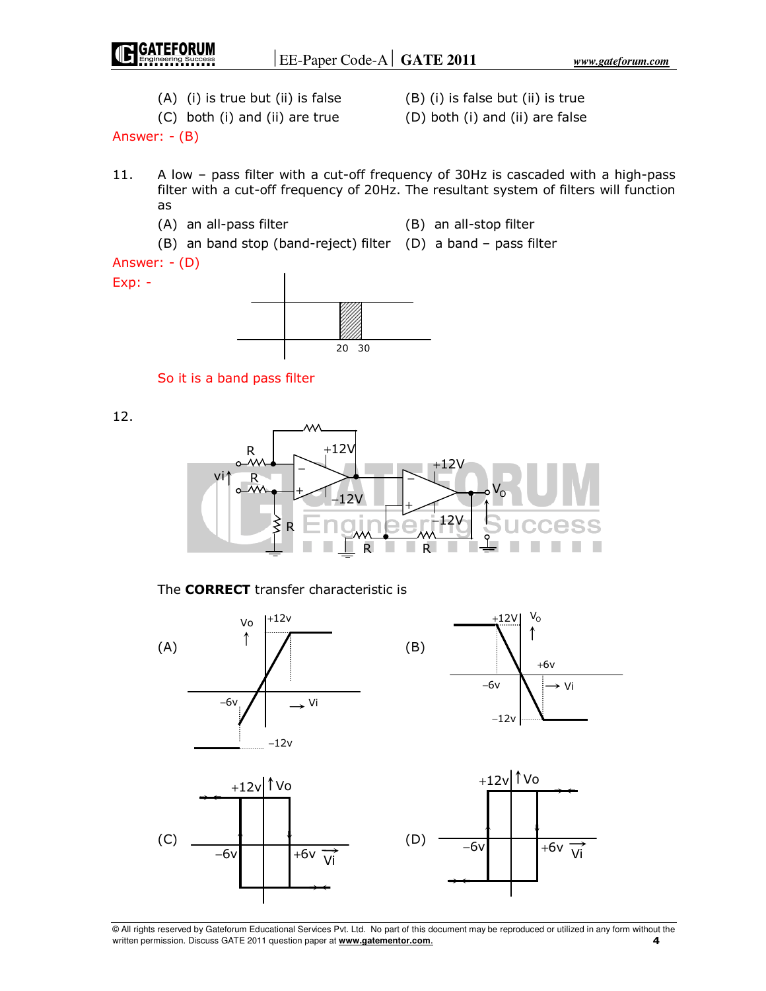

20 30



12.



The **CORRECT** transfer characteristic is

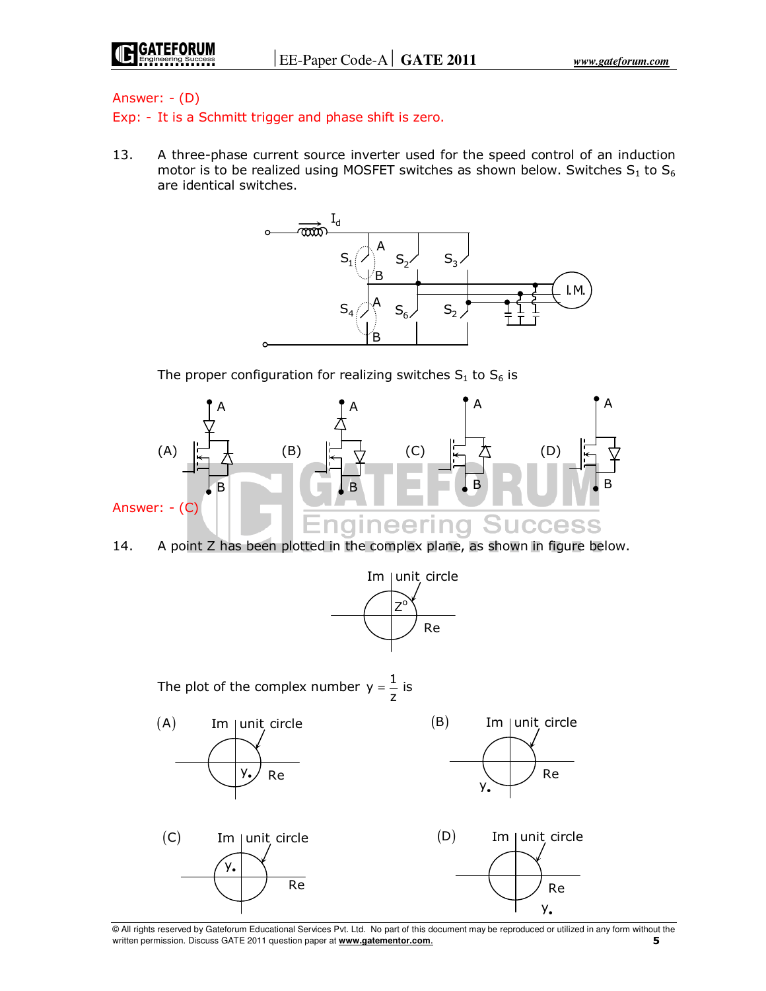## Answer: - (D)

Exp: - It is a Schmitt trigger and phase shift is zero.

13. A three-phase current source inverter used for the speed control of an induction motor is to be realized using MOSFET switches as shown below. Switches  $S_1$  to  $S_6$ are identical switches.



The proper configuration for realizing switches  $S_1$  to  $S_6$  is





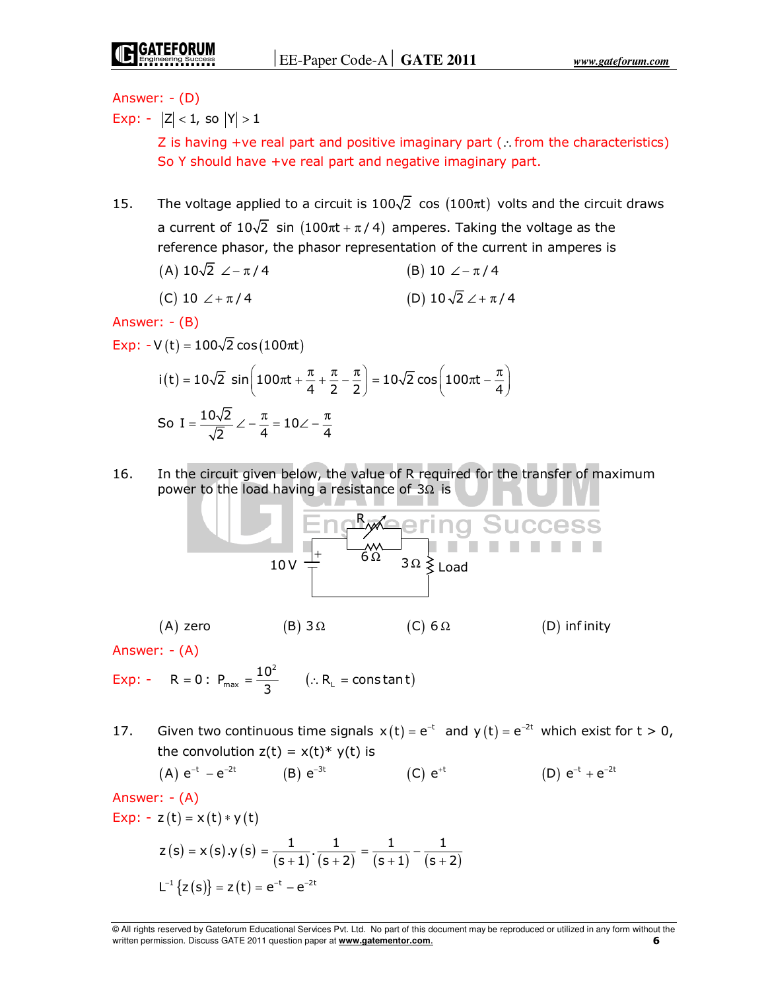Answer: - (D)

Exp: -  $|Z|$  < 1, so  $|Y|$  > 1

Z is having +ve real part and positive imaginary part (∴from the characteristics) So Y should have +ve real part and negative imaginary part.

- 15. The voltage applied to a circuit is  $100\sqrt{2}$  cos (100 $\pi$ t) volts and the circuit draws a current of  $10\sqrt{2}$  sin  $(100\pi t + \pi/4)$  amperes. Taking the voltage as the reference phasor, the phasor representation of the current in amperes is
	- (A)  $10\sqrt{2}$   $\angle -\pi/4$  (B)  $10 \angle -\pi/4$

(C) 
$$
10 \angle +\pi/4
$$
 (D)  $10\sqrt{2} \angle +\pi/4$ 

Answer: - (B)

Exp:  $-V(t) = 100\sqrt{2} \cos(100\pi t)$ 

$$
i(t) = 10\sqrt{2} \sin\left(100\pi t + \frac{\pi}{4} + \frac{\pi}{2} - \frac{\pi}{2}\right) = 10\sqrt{2} \cos\left(100\pi t - \frac{\pi}{4}\right)
$$
  
So  $I = \frac{10\sqrt{2}}{\sqrt{2}} \angle -\frac{\pi}{4} = 10\angle -\frac{\pi}{4}$ 

16. In the circuit given below, the value of R required for the transfer of maximum power to the load having a resistance of  $3\Omega$  is



Answer: - (A)

Exp: - R = 0 : P<sub>max</sub> =  $\frac{10^2}{2}$  $R = 0: P_{\text{max}} = \frac{10^2}{3}$   $(.: R_{L} = \text{constant})$ 

17. Given two continuous time signals  $x(t) = e^{-t}$  and  $y(t) = e^{-2t}$  which exist for  $t > 0$ , the convolution  $z(t) = x(t)^* y(t)$  is

(A) 
$$
e^{-t} - e^{-2t}
$$
 (B)  $e^{-3t}$  (C)  $e^{+t}$  (D)  $e^{-t} + e^{-2t}$ 

Answer: - (A)

$$
Exp: - z(t) = x(t) * y(t)
$$
  

$$
z(s) = x(s) \cdot y(s) = \frac{1}{(1 - \frac{1}{s})^2}
$$

$$
z(s) = x(s) \cdot y(s) = \frac{1}{(s+1)} \cdot \frac{1}{(s+2)} = \frac{1}{(s+1)} - \frac{1}{(s+2)}
$$
  

$$
L^{-1} \{ z(s) \} = z(t) = e^{-t} - e^{-2t}
$$

<sup>©</sup> All rights reserved by Gateforum Educational Services Pvt. Ltd. No part of this document may be reproduced or utilized in any form without the written permission. Discuss GATE 2011 question paper at **www.gatementor.com**. **6**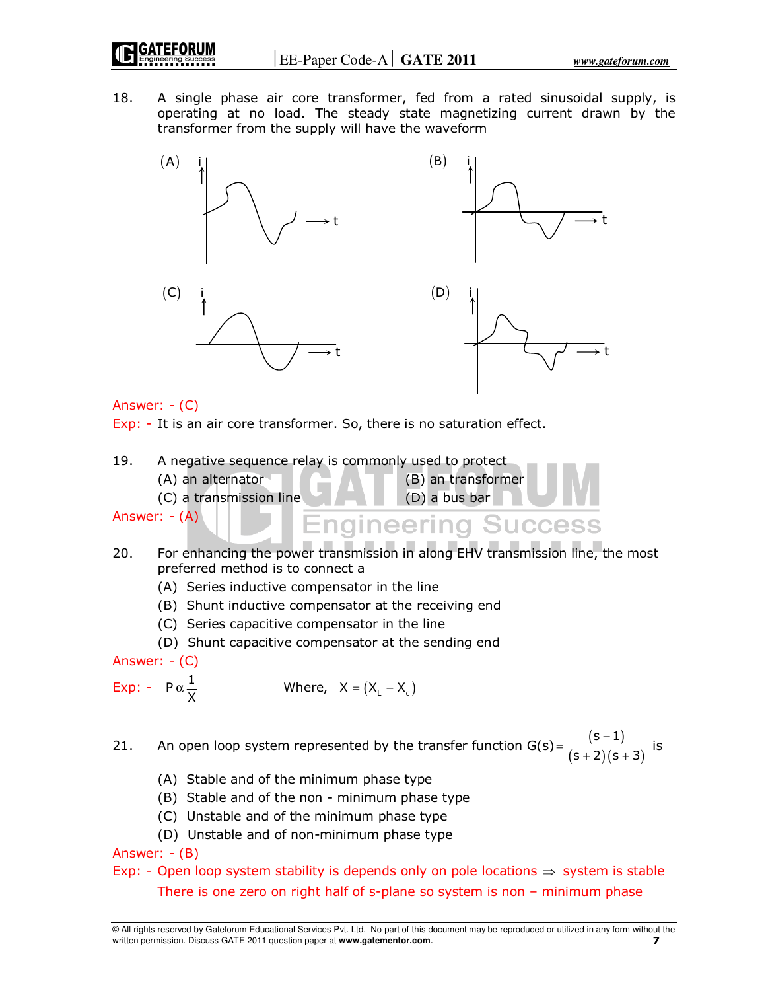18. A single phase air core transformer, fed from a rated sinusoidal supply, is operating at no load. The steady state magnetizing current drawn by the transformer from the supply will have the waveform



Answer: - (C)

Exp: - It is an air core transformer. So, there is no saturation effect.

19. A negative sequence relay is commonly used to protect  $(A)$  an alternator (B) an transformer

(C) a transmission line (D) a bus bar

Answer: - (A)

- **Engineering Success** 20. For enhancing the power transmission in along EHV transmission line, the most preferred method is to connect a
	- (A) Series inductive compensator in the line
	- (B) Shunt inductive compensator at the receiving end
	- (C) Series capacitive compensator in the line
	- (D) Shunt capacitive compensator at the sending end

Answer: - (C)

Exp: -  $P \alpha \frac{1}{X}$ Where,  $X = (X_1 - X_2)$ 

- 21. An open loop system represented by the transfer function  $G(s) = \frac{(s-1)}{(s-1)(s-1)}$  $(s + 2)(s + 3)$ s  $-1)$  $s + 2$ )  $(s + 3)$  $=\frac{(s-1)}{(s+2)(s+3)}$  is
	- (A) Stable and of the minimum phase type
	- (B) Stable and of the non minimum phase type
	- (C) Unstable and of the minimum phase type
	- (D) Unstable and of non-minimum phase type

Answer: - (B)

# Exp: - Open loop system stability is depends only on pole locations  $\Rightarrow$  system is stable There is one zero on right half of s-plane so system is non – minimum phase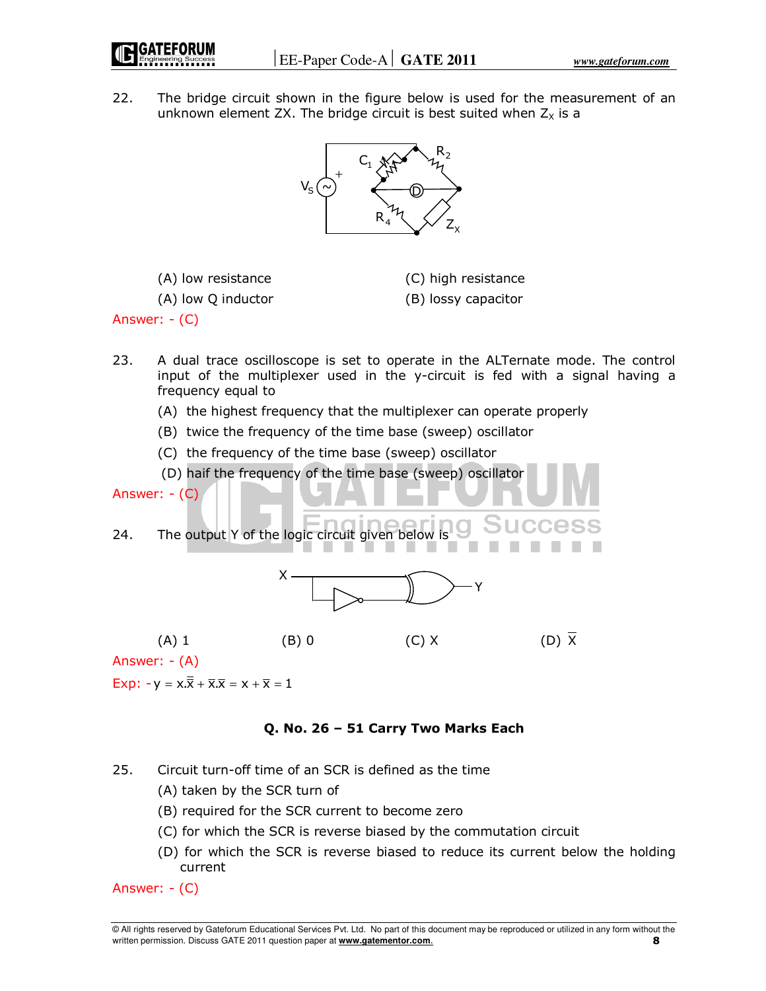

22. The bridge circuit shown in the figure below is used for the measurement of an unknown element ZX. The bridge circuit is best suited when  $Z_x$  is a



(A) low Q inductor (B) lossy capacitor

(A) low resistance (C) high resistance

Answer: - (C)

- 23. A dual trace oscilloscope is set to operate in the ALTernate mode. The control input of the multiplexer used in the y-circuit is fed with a signal having a frequency equal to
	- (A) the highest frequency that the multiplexer can operate properly
	- (B) twice the frequency of the time base (sweep) oscillator
	- (C) the frequency of the time base (sweep) oscillator

(D) haif the frequency of the time base (sweep) oscillator

24. The output Y of the logic circuit given below is



Answer: - (A)

Answer: - (C)

Exp:  $-v = x.\overline{\overline{x}} + \overline{x}.\overline{x} = x + \overline{x} = 1$ 

**Q. No. 26 – 51 Carry Two Marks Each** 

- 25. Circuit turn-off time of an SCR is defined as the time
	- (A) taken by the SCR turn of
	- (B) required for the SCR current to become zero
	- (C) for which the SCR is reverse biased by the commutation circuit
	- (D) for which the SCR is reverse biased to reduce its current below the holding current

Answer: - (C)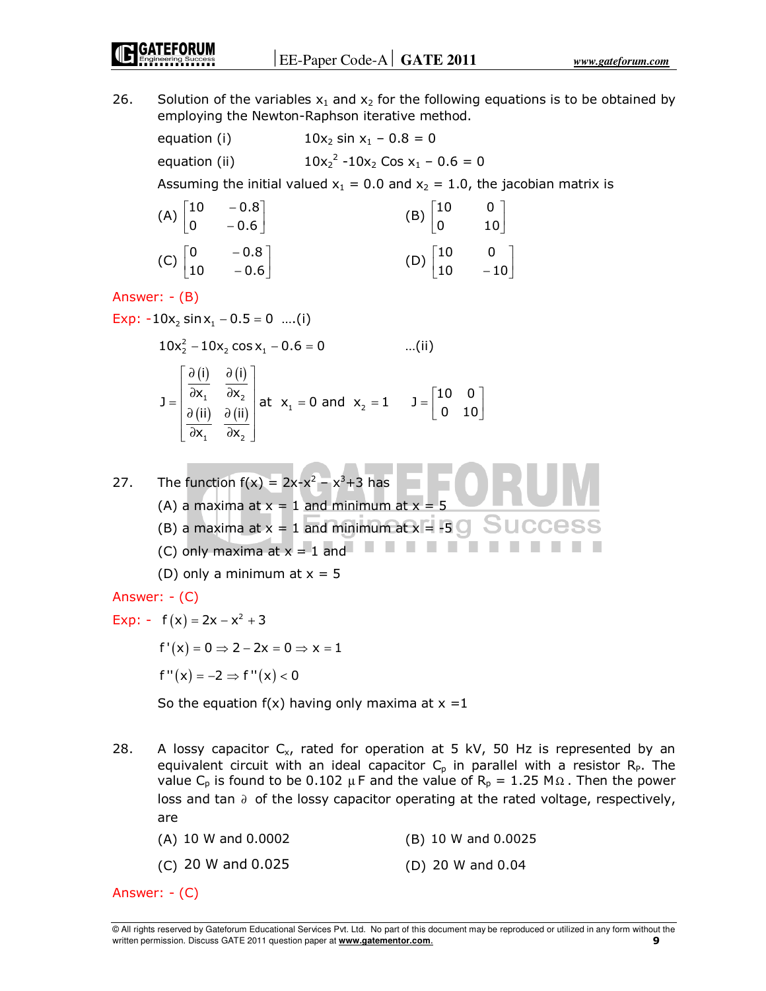26. Solution of the variables  $x_1$  and  $x_2$  for the following equations is to be obtained by employing the Newton-Raphson iterative method.

equation (i)  $10x_2 \sin x_1 - 0.8 = 0$  $2 - 10x_2 \text{ Cos } x_1 - 0.6 = 0$ equation (ii) Assuming the initial valued  $x_1 = 0.0$  and  $x_2 = 1.0$ , the jacobian matrix is (A)  $\begin{vmatrix} 10 & -0.8 \\ 0 & -0.6 \end{vmatrix}$  $\begin{bmatrix} 10 & -0.8 \end{bmatrix}$ (B)  $\begin{vmatrix} 10 & 0 \\ 0 & 10 \end{vmatrix}$  $\begin{bmatrix} 10 & 0 \end{bmatrix}$  $\begin{bmatrix} 0 & -0.6 \end{bmatrix}$  $\begin{bmatrix} 0 & 10 \end{bmatrix}$  $\begin{bmatrix} 0 & -0.8 \end{bmatrix}$  $\begin{bmatrix} 10 & 0 \end{bmatrix}$  $(C)$   $\begin{vmatrix} 0 & -0.8 \\ 10 & -0.6 \end{vmatrix}$ (D)  $\begin{vmatrix} 10 & 0 \\ 10 & -10 \end{vmatrix}$  $\begin{bmatrix} 10 & -0.6 \end{bmatrix}$  $\begin{bmatrix} 10 & -10 \end{bmatrix}$ Answer: - (B) Exp:  $-10x_2 \sin x_1 - 0.5 = 0$  ....(i)  $10x_2^2 - 10x_2 \cos x_1 - 0.6 = 0$  ...(ii)  $=\begin{bmatrix} \frac{\partial(i)}{\partial x_1} & \frac{\partial(i)}{\partial x_2} \\ \frac{\partial(i)}{\partial x_1} & \frac{\partial(i)}{\partial x_2} \end{bmatrix}$ i)  $\partial(i)$  $(i)$   $\partial(i)$  $J = \begin{vmatrix} \partial x_1 & \partial x_2 \\ \partial x_2 & \partial x_3 \end{vmatrix}$ at  $x_1 = 0$  and  $x_2 = 1$   $J = \begin{vmatrix} 10 & 0 \\ 0 & 10 \end{vmatrix}$  $=\begin{bmatrix} 10 & 0 \ 0 & 10 \end{bmatrix}$  $\begin{pmatrix} \mathbf{u}_1 & \mathbf{v}_2 \\ \mathbf{v}_2 & \mathbf{v}_1 \end{pmatrix}$ ii)  $\partial$  (ii)  $\begin{bmatrix} \partial x_1 & \partial x_2 \end{bmatrix}$  $x_1$   $\partial x_2$ 1  $\mathbf{v}$   $\mathbf{v}$ 27. The function  $f(x) = 2x-x^2 - x^3 + 3$  has (A) a maxima at  $x = 1$  and minimum at  $x = 5$ (B) a maxima at  $x = 1$  and minimum at  $x = -5$  J J L C C (C) only maxima at  $x = 1$  and (D) only a minimum at  $x = 5$ Answer: - (C) Exp: -  $f(x) = 2x - x^2 + 3$  $f'(x) = 0 \rightarrow 2$ <br> $2x = 0 \rightarrow x = 1$ 

$$
\Gamma'(X) = 0 \Rightarrow Z - 2X = 0 \Rightarrow X =
$$

$$
f''(x) = -2 \Rightarrow f''(x) < 0
$$

So the equation  $f(x)$  having only maxima at  $x = 1$ 

- 28. A lossy capacitor  $C_{x}$ , rated for operation at 5 kV, 50 Hz is represented by an equivalent circuit with an ideal capacitor  $C_p$  in parallel with a resistor  $R_p$ . The value C<sub>p</sub> is found to be 0.102 µ F and the value of R<sub>p</sub> = 1.25 M $\Omega$ . Then the power loss and tan ∂ of the lossy capacitor operating at the rated voltage, respectively, are
	- (A) 10 W and 0.0002 (B) 10 W and 0.0025
	- (C) 20 W and 0.025 (D) 20 W and 0.04

Answer: - (C)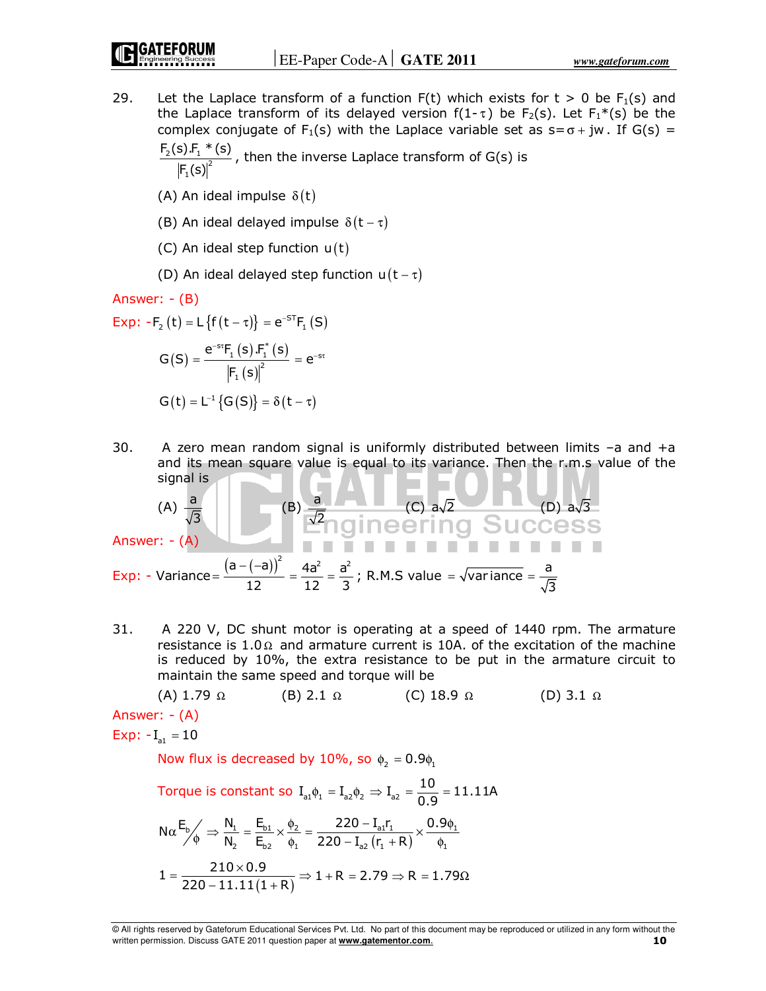29. Let the Laplace transform of a function  $F(t)$  which exists for  $t > 0$  be  $F_1(s)$  and the Laplace transform of its delayed version  $f(1-\tau)$  be  $F_2(s)$ . Let  $F_1^*(s)$  be the complex conjugate of F<sub>1</sub>(s) with the Laplace variable set as  $s = \sigma + jw$ . If G(s) =  $F_2(s) F_1 * (s)$ 

 $\frac{2(\frac{3}{1} - \frac{1}{1})^2}{\sqrt{2}}$ 1  $F_1(s)$ , then the inverse Laplace transform of G(s) is

- (A) An ideal impulse  $\delta(t)$
- (B) An ideal delayed impulse  $\delta(t \tau)$
- (C) An ideal step function  $u(t)$
- (D) An ideal delayed step function  $u(t \tau)$

Answer: - (B)

Exp: 
$$
-F_2(t) = L \{f(t - \tau)\} = e^{-ST}F_1(S)
$$

\n $G(S) = \frac{e^{-sr}F_1(s) \cdot F_1^*(s)}{|F_1(s)|^2} = e^{-s\tau}$ 

$$
G\big(t\big)=L^{-1}\big\{G\big(S\big)\big\}=\delta\big(t-\tau\big)
$$

30. A zero mean random signal is uniformly distributed between limits –a and +a and its mean square value is equal to its variance. Then the r.m.s value of the signal is **the set of the set of the set of the set of the set of the set of the set of the set of the set of the set of the set of the set of the set of the set of the set of the set of the set of the set of the set of th**  $\blacksquare$ 

(A) 
$$
\frac{a}{\sqrt{3}}
$$
 (B)  $\frac{a}{\sqrt{2}}$  (C)  $a\sqrt{2}$  (D)  $a\sqrt{3}$   
Answer: - (A)  
Exp: - Variance =  $\frac{(a - (-a))^2}{12} = \frac{4a^2}{12} = \frac{a^2}{3}$ ; R.M.S value =  $\sqrt{\text{variance}} = \frac{a}{\sqrt{3}}$ 

31. A 220 V, DC shunt motor is operating at a speed of 1440 rpm. The armature resistance is 1.0 $\Omega$  and armature current is 10A. of the excitation of the machine is reduced by 10%, the extra resistance to be put in the armature circuit to maintain the same speed and torque will be

(A) 1.79 Ω (B) 2.1 Ω (C) 18.9 Ω (D) 3.1 Ω Answer: - (A) Exp:  $-I_{a1} = 10$ Now flux is decreased by 10%, so  $\phi_2 = 0.9\phi_1$ 

Torque is constant so  $\text{I}_{\text{a1}}\phi_1 = \text{I}_{\text{a2}}\phi_2 \Rightarrow \text{I}_{\text{a2}} = \frac{10}{0.9} = 11.11$ A  $=\frac{18}{22}$  =  $N\alpha \frac{E_b}{\phi} \Rightarrow \frac{N_1}{N_2} = \frac{E_{b1}}{E_{b2}} \times \frac{\phi_2}{\phi_1} = \frac{220 - I_{a1}I_1}{220 - I_{a2}(r_1 + R)} \times \frac{0.9\phi_1}{\phi_1}$ 2  $\mu_0$   $\mu_1$   $\mu_2$   $\mu_3$   $\mu_1$   $\cdots$   $\mu_1$  $N_1$   $E_{b1}$   $\phi_2$   $220 - I_{a1}r_1$   $0.9$ N<sub>2</sub> E<sub>b2</sub>  $\phi_1$  220 - I<sub>a2</sub> (r<sub>1</sub> + R)  $=\frac{E_{b1}}{E_{b2}} \times \frac{\phi_2}{\phi_1} = \frac{220 - I_{a1}r_1}{220 - I_{a2}(r_1 + R)} \times \frac{0.9\phi_1}{\phi_1}$  $\overline{(1+{\sf R})}$  $1 = \frac{210 \times 0.9}{220 - 11.11(1 + R)}$  $=\displaystyle\frac{210\!\times\!0.9}{220\!-\!11.11(1\!+\!{\mathsf R})}\!\Rightarrow\! 1\!+\!{\mathsf R}$  = 2.79  $\Rightarrow$  R = 1.79 $\Omega$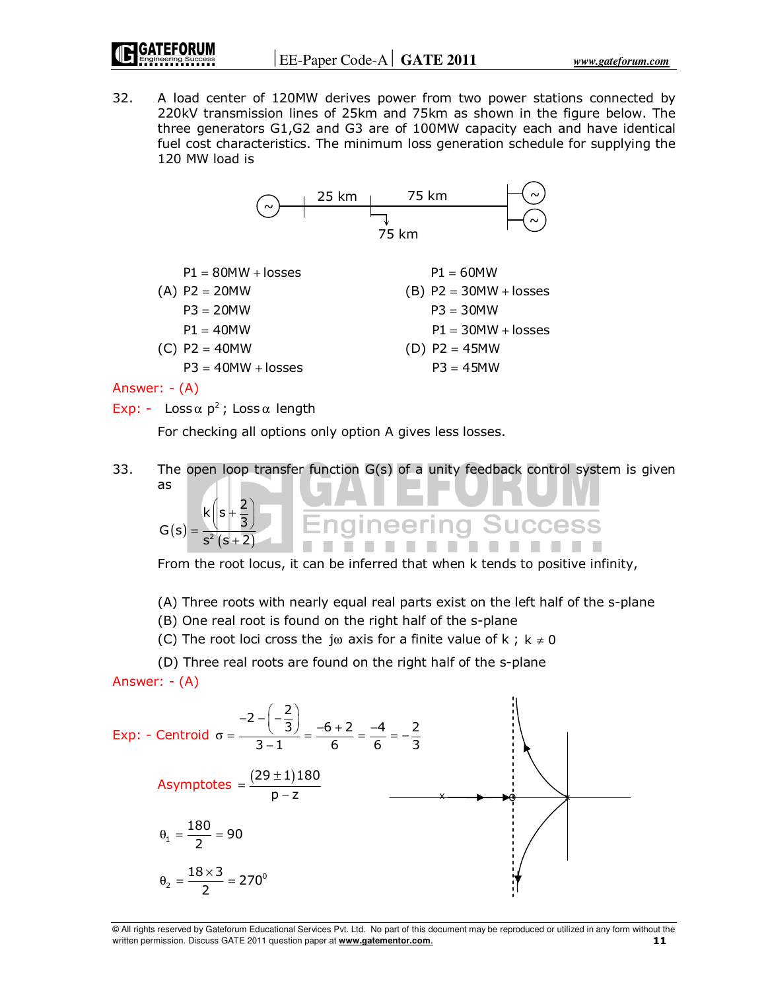32. A load center of 120MW derives power from two power stations connected by 220kV transmission lines of 25km and 75km as shown in the figure below. The three generators G1,G2 and G3 are of 100MW capacity each and have identical fuel cost characteristics. The minimum loss generation schedule for supplying the 120 MW load is





Answer: - (A)

$$
Exp: - Loss \alpha p^2; Loss \alpha length
$$

 $s^2 (s + 2)$ 

For checking all options only option A gives less losses.

33. The open loop transfer function G(s) of a unity feedback control system is given as  $\left(\begin{array}{c} 2 \end{array}\right)$ 2  $\mathsf{k} \, | \, \mathsf{s}$  - $\left(5+\frac{2}{3}\right)$ 3 **Success**  $G(s) = \frac{(s)}{s^2 (s+2)}$ +

From the root locus, it can be inferred that when k tends to positive infinity,

(A) Three roots with nearly equal real parts exist on the left half of the s-plane

(B) One real root is found on the right half of the s-plane

(C) The root loci cross the j $\omega$  axis for a finite value of k; k  $\neq$  0

 (D) Three real roots are found on the right half of the s-plane Answer: - (A)

Exp: - Centroid 
$$
\sigma = \frac{-2 - \left(-\frac{2}{3}\right)}{3 - 1} = \frac{-6 + 2}{6} = \frac{-4}{6} = -\frac{2}{3}
$$

\nAsymptotes  $= \frac{(29 \pm 1)180}{p - z}$ 

\n $\theta_1 = \frac{180}{2} = 90$ 

\n $\theta_2 = \frac{18 \times 3}{2} = 270^\circ$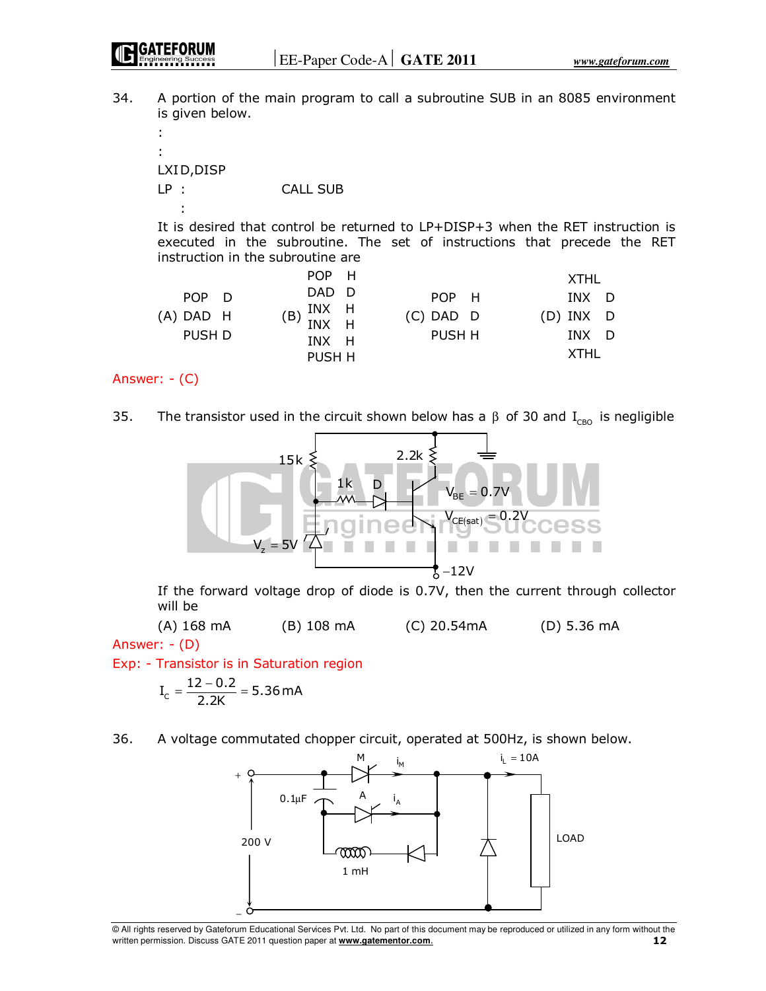34. A portion of the main program to call a subroutine SUB in an 8085 environment is given below.

 : : LXI D,DISP LP : CALL SUB : 100 minutes

> It is desired that control be returned to LP+DISP+3 when the RET instruction is executed in the subroutine. The set of instructions that precede the RET instruction in the subroutine are

|                         | POP H                         |                       | XTHL               |
|-------------------------|-------------------------------|-----------------------|--------------------|
| POP D                   | DAD D                         | POP H                 | INX D              |
| $(A)$ DAD $H$<br>PUSH D | $(B)$ INX H<br>INX H<br>INX H | $(C)$ DAD D<br>PUSH H | (D) INX D<br>INX D |
|                         | PUSH H                        |                       | <b>XTHL</b>        |

Answer: - (C)

35. The transistor used in the circuit shown below has a  $\beta$  of 30 and I<sub>CBO</sub> is negligible



 If the forward voltage drop of diode is 0.7V, then the current through collector will be

(A) 168 mA (B) 108 mA (C) 20.54mA (D) 5.36 mA

Answer: - (D)

Exp: - Transistor is in Saturation region

$$
I_c = \frac{12 - 0.2}{2.2K} = 5.36 \text{ mA}
$$

36. A voltage commutated chopper circuit, operated at 500Hz, is shown below.

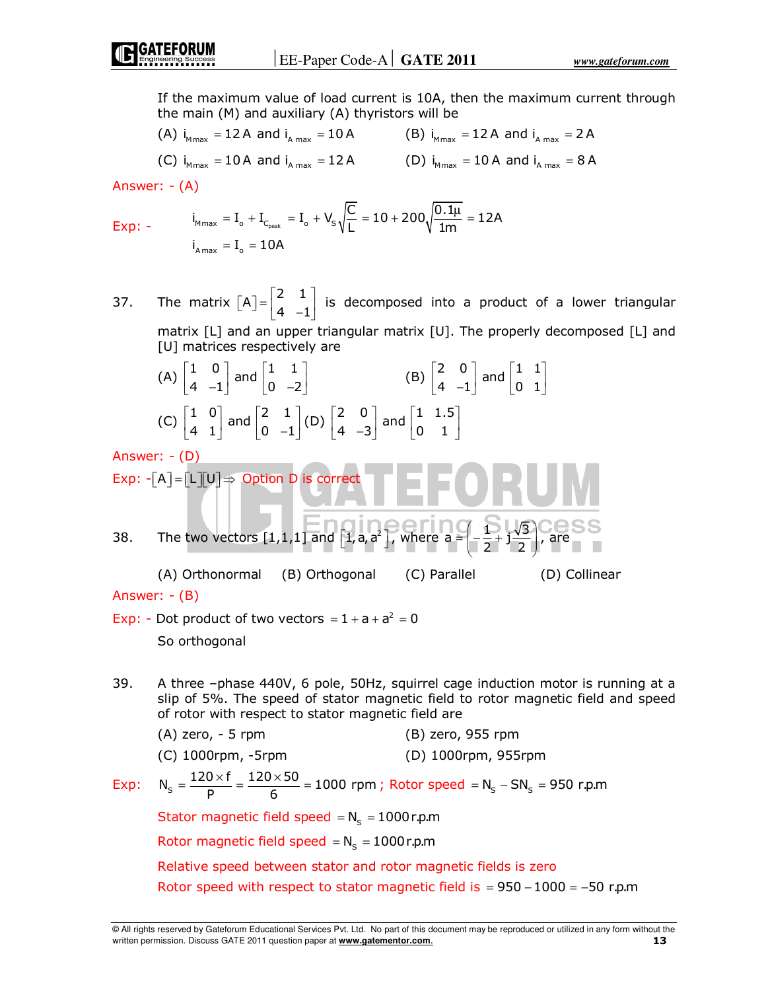If the maximum value of load current is 10A, then the maximum current through the main (M) and auxiliary (A) thyristors will be

(A)  $i_{Mmax} = 12$  A and  $i_{A max} = 10$  A  $( B )$   $i_{Mmax} = 12$  A and  $i_{A max} = 2$  A

(C) 
$$
i_{Mmax} = 10A
$$
 and  $i_{Amax} = 12A$  (D)  $i_{Mmax} = 10A$  and  $i_{Amax} = 8A$ 

Answer: - (A)

$$
Exp: - \qquad \qquad i_{M_{max}} = I_o + I_{C_{peak}} = I_o + V_s \sqrt{\frac{C}{L}} = 10 + 200 \sqrt{\frac{0.1 \mu}{1 m}} = 12 A
$$
\n
$$
i_{A_{max}} = I_o = 10 A
$$

37. The matrix  $[A] = \begin{bmatrix} 2 & 1 \\ 4 & -1 \end{bmatrix}$  is decomposed into a product of a lower triangular matrix [L] and an upper triangular matrix [U]. The properly decomposed [L] and [U] matrices respectively are

(A) 
$$
\begin{bmatrix} 1 & 0 \\ 4 & -1 \end{bmatrix}
$$
 and  $\begin{bmatrix} 1 & 1 \\ 0 & -2 \end{bmatrix}$  (B)  $\begin{bmatrix} 2 & 0 \\ 4 & -1 \end{bmatrix}$  and  $\begin{bmatrix} 1 & 1 \\ 0 & 1 \end{bmatrix}$   
\n(C)  $\begin{bmatrix} 1 & 0 \\ 4 & 1 \end{bmatrix}$  and  $\begin{bmatrix} 2 & 1 \\ 0 & -1 \end{bmatrix}$  (D)  $\begin{bmatrix} 2 & 0 \\ 4 & -3 \end{bmatrix}$  and  $\begin{bmatrix} 1 & 1.5 \\ 0 & 1 \end{bmatrix}$ 

Answer: - (D) Exp: - A L U = ⇒ Option D is correct

38. The two vectors 
$$
[1,1,1]
$$
 and  $[1,a,a^2]$ , where  $a = \left(-\frac{5}{2} + i\frac{\sqrt{3}}{2}\right)$ , are

 (A) Orthonormal (B) Orthogonal (C) Parallel (D) Collinear Answer: - (B)

- Exp: Dot product of two vectors  $= 1 + a + a^2 = 0$ So orthogonal
- 39. A three –phase 440V, 6 pole, 50Hz, squirrel cage induction motor is running at a slip of 5%. The speed of stator magnetic field to rotor magnetic field and speed of rotor with respect to stator magnetic field are

|      | $(A)$ zero, $-5$ rpm                                                        | $(B)$ zero, 955 rpm   |
|------|-----------------------------------------------------------------------------|-----------------------|
|      | $(C)$ 1000rpm, -5rpm                                                        | $(D)$ 1000rpm, 955rpm |
| Evn+ | $120\times$ f $_{-}$ 120 $\times$ 50 $_{-}$ 1000 rpm : Poter speed $_{-}$ N | CNI – OLI             |

Exp:  $N_s = \frac{120 \times f}{p} = \frac{120 \times 50}{6} = 1000$  rpm  $=\frac{120 \times f}{R}=\frac{120 \times 50}{6}=1000$  rpm ; Rotor speed  $=N_s-SN_s=950$  r.p.m Stator magnetic field speed  $=N_s = 1000$ r.p.m Rotor magnetic field speed  $=N_s = 1000$ r.p.m Relative speed between stator and rotor magnetic fields is zero Rotor speed with respect to stator magnetic field is =  $950 - 1000 = -50$  r.p.m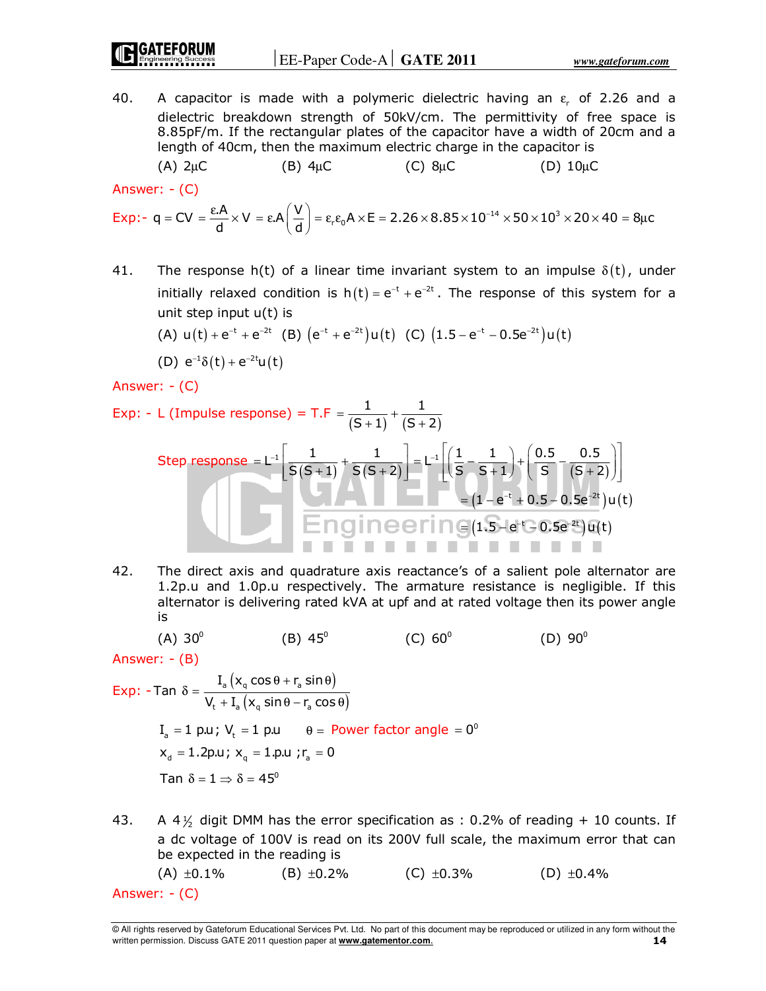40. A capacitor is made with a polymeric dielectric having an  $\varepsilon_r$  of 2.26 and a dielectric breakdown strength of 50kV/cm. The permittivity of free space is 8.85pF/m. If the rectangular plates of the capacitor have a width of 20cm and a length of 40cm, then the maximum electric charge in the capacitor is (A)  $2\mu C$  (B)  $4\mu C$  (C)  $8\mu C$  (D)  $10\mu C$ 

Answer: - (C)

$$
\text{Exp:} \text{-} \text{ } q = CV = \frac{\epsilon.A}{d} \times V = \epsilon.A \bigg(\frac{V}{d}\bigg) = \epsilon_r \epsilon_0 A \times E = 2.26 \times 8.85 \times 10^{-14} \times 50 \times 10^3 \times 20 \times 40 = 8 \mu c
$$

41. The response h(t) of a linear time invariant system to an impulse  $\delta(t)$ , under initially relaxed condition is  $h(t) = e^{-t} + e^{-2t}$ . The response of this system for a unit step input u(t) is

(A) 
$$
u(t) + e^{-t} + e^{-2t}
$$
 (B)  $(e^{-t} + e^{-2t})u(t)$  (C)  $(1.5 - e^{-t} - 0.5e^{-2t})u(t)$ 

(D) 
$$
e^{-1}\delta(t) + e^{-2t}u(t)
$$

Answer: - (C)

Exp: - L (Impulse response) = T.F = 
$$
\frac{1}{(S+1)} + \frac{1}{(S+2)}
$$

\nStep response = L<sup>-1</sup> 
$$
\frac{1}{S(S+1)} + \frac{1}{S(S+2)} = L^{-1} \left[ \left( \frac{1}{S} - \frac{1}{S+1} \right) + \left( \frac{0.5}{S} - \frac{0.5}{(S+2)} \right) \right]
$$

\n= 
$$
(1 - e^{-t} + 0.5 - 0.5e^{-2t})u(t)
$$

\nEngineering (1.5 - e<sup>-t</sup> - 0.5e<sup>-2t</sup>)u(t)

42. The direct axis and quadrature axis reactance's of a salient pole alternator are 1.2p.u and 1.0p.u respectively. The armature resistance is negligible. If this alternator is delivering rated kVA at upf and at rated voltage then its power angle is

(A) 
$$
30^{\circ}
$$
 (B)  $45^{\circ}$  (C)  $60^{\circ}$  (D)  $90^{\circ}$ 

Answer: - (B)

Exp: -Tan 
$$
\delta = \frac{I_a \left( x_q \cos \theta + r_a \sin \theta \right)}{V_t + I_a \left( x_q \sin \theta - r_a \cos \theta \right)}
$$

\n
$$
I_a = 1 \text{ p.u}; \ V_t = 1 \text{ p.u} \qquad \theta = \text{Power factor angle} = 0^\circ
$$

\n
$$
x_d = 1.2 \text{ p.u}; \ x_q = 1. \text{ p.u}; r_a = 0
$$

\nTan 
$$
\delta = 1 \Rightarrow \delta = 45^\circ
$$

43. A 4 $\frac{1}{2}$  digit DMM has the error specification as : 0.2% of reading + 10 counts. If a dc voltage of 100V is read on its 200V full scale, the maximum error that can be expected in the reading is

(A)  $\pm 0.1\%$  (B)  $\pm 0.2\%$  (C)  $\pm 0.3\%$  (D)  $\pm 0.4\%$ Answer: - (C)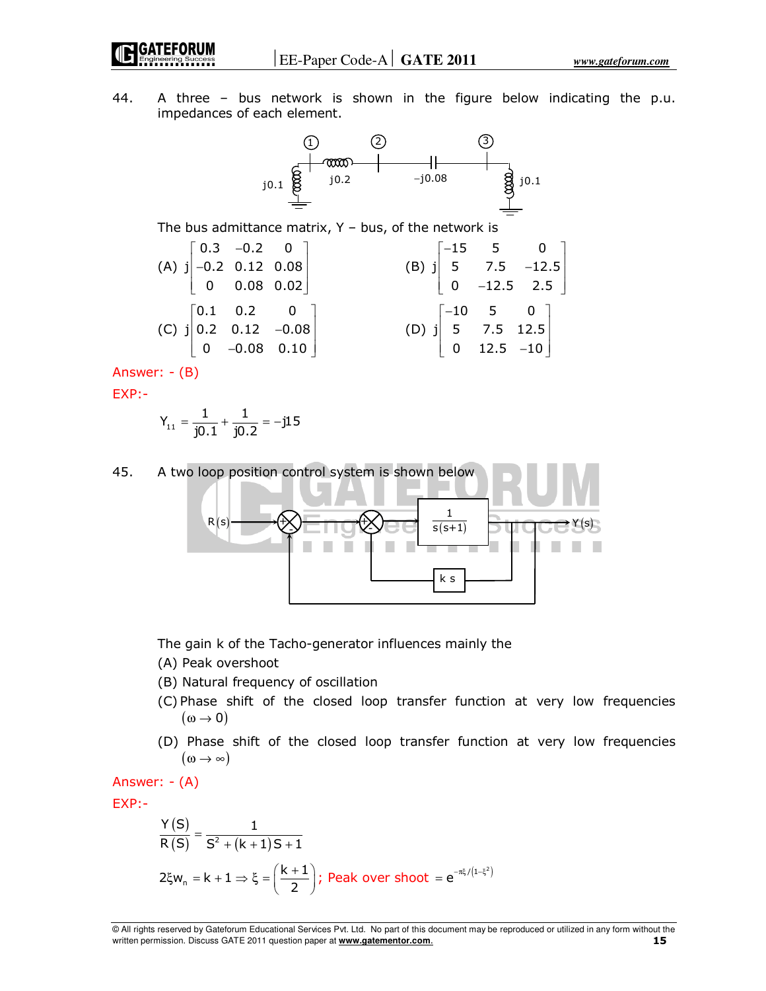44. A three – bus network is shown in the figure below indicating the p.u. impedances of each element.



The bus admittance matrix,  $Y - bus$ , of the network is

(A) 
$$
j\begin{bmatrix} 0.3 & -0.2 & 0 \\ -0.2 & 0.12 & 0.08 \\ 0 & 0.08 & 0.02 \end{bmatrix}
$$
  
\n(B)  $j\begin{bmatrix} -15 & 5 & 0 \\ 5 & 7.5 & -12.5 \\ 0 & -12.5 & 2.5 \end{bmatrix}$   
\n(C)  $j\begin{bmatrix} 0.1 & 0.2 & 0 \\ 0.2 & 0.12 & -0.08 \\ 0 & -0.08 & 0.10 \end{bmatrix}$   
\n(D)  $j\begin{bmatrix} -10 & 5 & 0 \\ 5 & 7.5 & 12.5 \\ 0 & 12.5 & -10 \end{bmatrix}$ 

Answer: - (B)

EXP:-

$$
Y_{11} = \frac{1}{j0.1} + \frac{1}{j0.2} = -j15
$$



The gain k of the Tacho-generator influences mainly the

- (A) Peak overshoot
- (B) Natural frequency of oscillation
- (C) Phase shift of the closed loop transfer function at very low frequencies  $(\omega \rightarrow 0)$
- (D) Phase shift of the closed loop transfer function at very low frequencies  $(\omega \rightarrow \infty)$

Answer: - (A)

EXP:-

$$
\frac{Y(S)}{R(S)} = \frac{1}{S^2 + (k+1)S + 1}
$$
  
2\xi w<sub>n</sub> = k + 1  $\Rightarrow \xi = \left(\frac{k+1}{2}\right)$ ; Peak over shoot =  $e^{-\pi\xi/(1-\xi^2)}$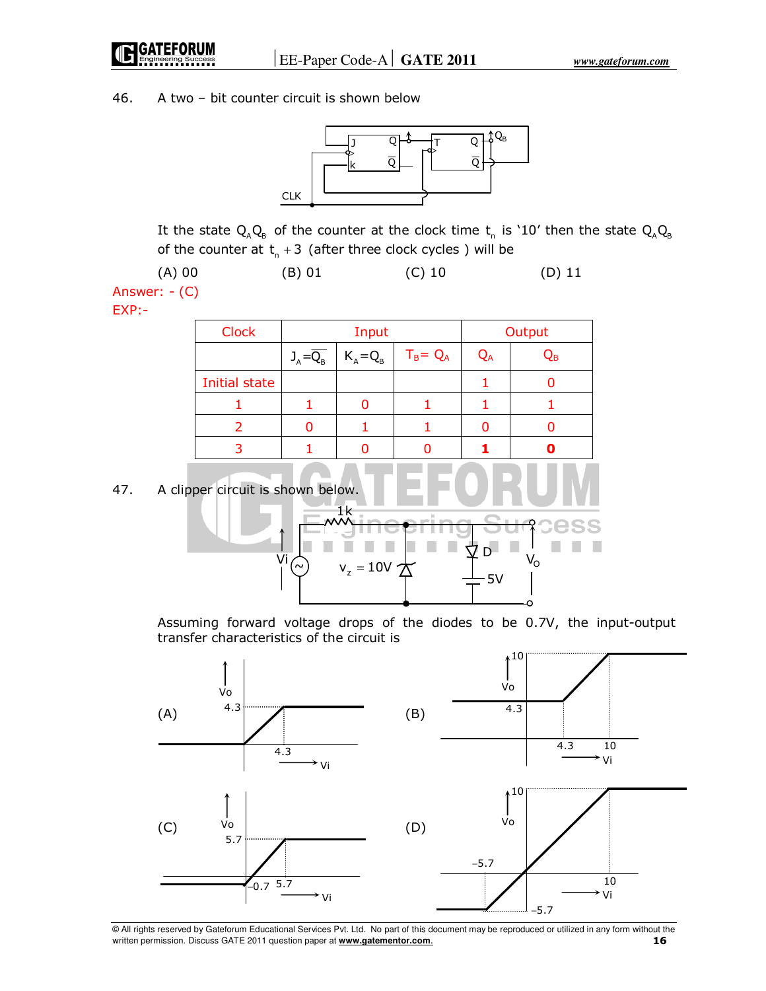46. A two – bit counter circuit is shown below



It the state  $\mathsf{Q}_{\text{\tiny A}}\mathsf{Q}_{\text{\tiny B}}$  of the counter at the clock time  $\mathsf{t}_{\text{\tiny n}}$  is `10' then the state  $\mathsf{Q}_{\text{\tiny A}}\mathsf{Q}_{\text{\tiny B}}$ of the counter at  $t_{n} + 3$  (after three clock cycles) will be

 (A) 00 (B) 01 (C) 10 (D) 11 Answer: - (C)

EXP:-

| <b>Clock</b>         | Input                  |             |             |    | Output |
|----------------------|------------------------|-------------|-------------|----|--------|
|                      | $J_A = \overline{Q_B}$ | $K_A = Q_B$ | $T_B = Q_A$ | QA | Qв     |
| <b>Initial state</b> |                        |             |             |    |        |
|                      |                        |             |             |    |        |
|                      |                        |             |             |    |        |
|                      |                        |             |             |    |        |

47. A clipper circuit is shown below.

$$
\begin{array}{c}\n\begin{array}{c}\n\frac{1}{2} \\
\frac{1}{2} \\
\frac{1}{2} \\
\frac{1}{2} \\
\frac{1}{2} \\
\frac{1}{2} \\
\frac{1}{2} \\
\frac{1}{2} \\
\frac{1}{2} \\
\frac{1}{2} \\
\frac{1}{2} \\
\frac{1}{2} \\
\frac{1}{2} \\
\frac{1}{2} \\
\frac{1}{2} \\
\frac{1}{2} \\
\frac{1}{2} \\
\frac{1}{2} \\
\frac{1}{2} \\
\frac{1}{2} \\
\frac{1}{2} \\
\frac{1}{2} \\
\frac{1}{2} \\
\frac{1}{2} \\
\frac{1}{2} \\
\frac{1}{2} \\
\frac{1}{2} \\
\frac{1}{2} \\
\frac{1}{2} \\
\frac{1}{2} \\
\frac{1}{2} \\
\frac{1}{2} \\
\frac{1}{2} \\
\frac{1}{2} \\
\frac{1}{2} \\
\frac{1}{2} \\
\frac{1}{2} \\
\frac{1}{2} \\
\frac{1}{2} \\
\frac{1}{2} \\
\frac{1}{2} \\
\frac{1}{2} \\
\frac{1}{2} \\
\frac{1}{2} \\
\frac{1}{2} \\
\frac{1}{2} \\
\frac{1}{2} \\
\frac{1}{2} \\
\frac{1}{2} \\
\frac{1}{2} \\
\frac{1}{2} \\
\frac{1}{2} \\
\frac{1}{2} \\
\frac{1}{2} \\
\frac{1}{2} \\
\frac{1}{2} \\
\frac{1}{2} \\
\frac{1}{2} \\
\frac{1}{2} \\
\frac{1}{2} \\
\frac{1}{2} \\
\frac{1}{2} \\
\frac{1}{2} \\
\frac{1}{2} \\
\frac{1}{2} \\
\frac{1}{2} \\
\frac{1}{2} \\
\frac{1}{2} \\
\frac{1}{2} \\
\frac{1}{2} \\
\frac{1}{2} \\
\frac{1}{2} \\
\frac{1}{2} \\
\frac{1}{2} \\
\frac{1}{2} \\
\frac{1}{2} \\
\frac{1}{2} \\
\frac{1}{2} \\
\frac{1}{2} \\
\frac{1}{2} \\
\frac{1}{2} \\
\frac{1}{2} \\
\frac{1}{2} \\
\frac{1}{2} \\
\frac{1}{2} \\
\frac{1}{2} \\
\frac{1}{2} \\
\frac{1}{2} \\
\frac{1}{2} \\
\frac{1}{2} \\
\frac{1}{2} \\
\frac{1}{2} \\
\frac{1}{2} \\
$$

 Assuming forward voltage drops of the diodes to be 0.7V, the input-output transfer characteristics of the circuit is

660 E

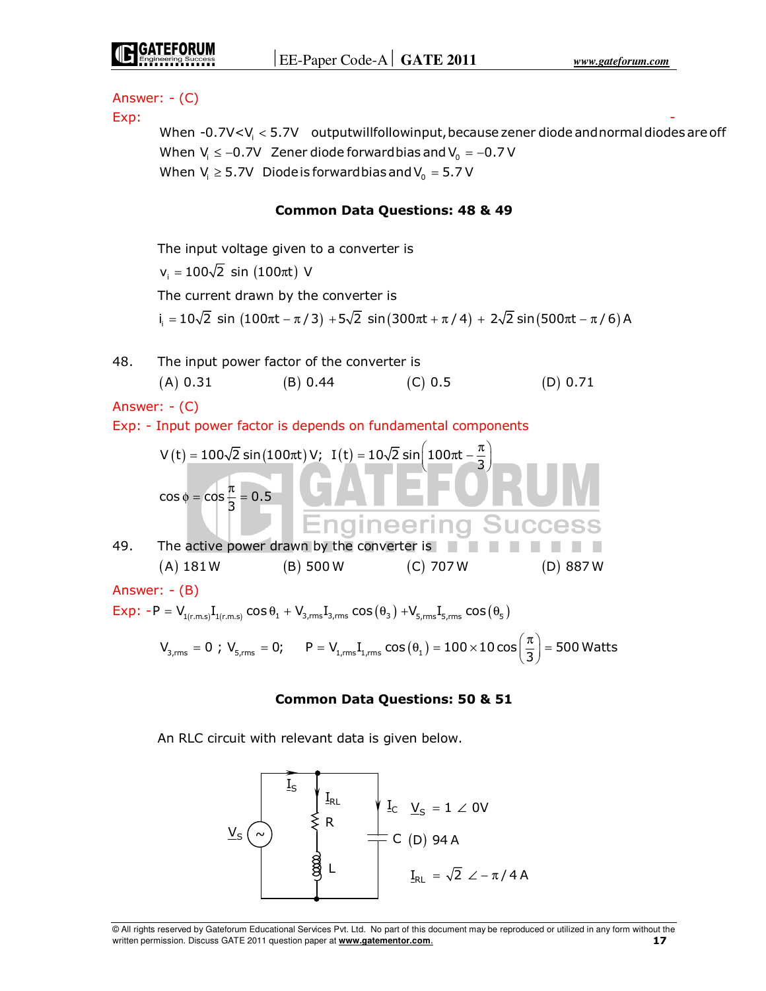Answer: - (C) Exp: - When  $-0.7$ V $<$ V $_{\sf i}$   $<$  5.7V  $\;$  outputwillfollowinput, because zener diode and normal diodes are off When  $V_i \le -0.7V$  Zener diode forward bias and  $V_0 = -0.7V$ When  $V_i \geq 5.7V$  Diode is forward bias and  $V_0 = 5.7 V$ **Common Data Questions: 48 & 49**  The input voltage given to a converter is  $v_i = 100\sqrt{2} \sin(100\pi t)$  V The current drawn by the converter is  $\mathfrak{i}_\mathfrak{j}=10\sqrt{2}\,\,\,\mathsf{sin}\,\,\big(100\pi\mathsf{t}-\pi\,/\,3\big)+5\sqrt{2}\,\,\mathsf{sin}\,\big(300\pi\mathsf{t}+\pi\,/\,4\big)\,+\,2\sqrt{2}\,\,\mathsf{sin}\,\big(500\pi\mathsf{t}-\pi\,/\,6\big)\,\mathsf{A}\,$ 48. The input power factor of the converter is  $(A) 0.31$   $(B) 0.44$   $(C) 0.5$   $(D) 0.71$ Answer: - (C) Exp: - Input power factor is depends on fundamental components  $V(t) = 100\sqrt{2} \sin(100\pi t) V;$  I(t) =  $10\sqrt{2} \sin(100\pi t - \frac{\pi}{3})$  $\phi = \cos \frac{\pi}{6} =$  $\cos \phi = \cos \frac{\pi}{3} = 0.5$ Enaineerina 49. The active power drawn by the converter is  $(A)$  181W  $(B)$  500 W  $(C)$  707 W  $(D)$  887 W Answer: - (B)  $Exp: -P = V_{1(r.m.s)}I_{1(r.m.s)} \cos\theta_1 + V_{3,rms}I_{3,rms} \cos(\theta_3) + V_{5,rms}I_{5,rms} \cos(\theta_5)$  $\mathsf{V}_{_{3,\rm rms}} = 0$  ;  $\mathsf{V}_{_{5,\rm rms}} = 0;$   $\mathsf{P} = \mathsf{V}_{_{1,\rm rms}}\mathrm{I}_{_{1,\rm rms}}\cos(\theta_1) = 100 \times 10\cos\left(\frac{\pi}{3}\right) = 500$  Watts **Common Data Questions: 50 & 51** 

An RLC circuit with relevant data is given below.

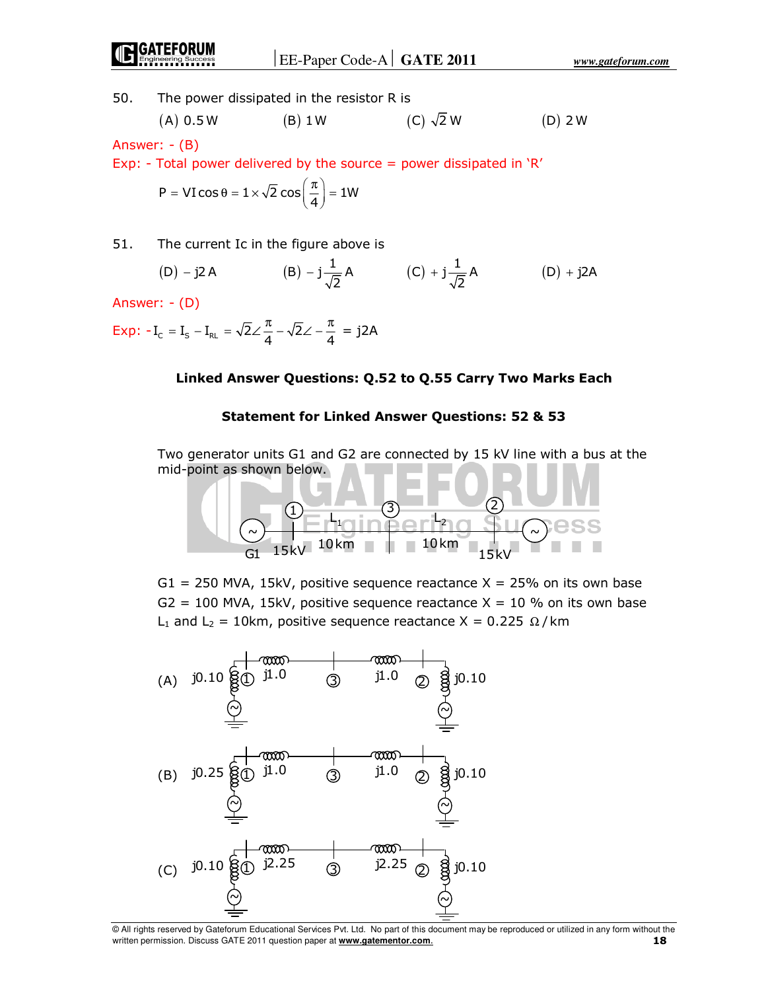50. The power dissipated in the resistor R is

(A) 0.5 W (B) 1 W (C) 
$$
\sqrt{2}
$$
 W (D) 2 W

Answer: - (B)

Exp: - Total power delivered by the source = power dissipated in  $R'$ 

$$
P = VI\cos\theta = 1 \times \sqrt{2}\cos\left(\frac{\pi}{4}\right) = 1W
$$

51. The current Ic in the figure above is

(D) 
$$
-j2A
$$
 (B)  $-j\frac{1}{\sqrt{2}}A$  (C)  $+j\frac{1}{\sqrt{2}}A$  (D)  $+j2A$ 

Answer: - (D)

$$
Exp: -I_{C} = I_{S} - I_{RL} = \sqrt{2} \angle \frac{\pi}{4} - \sqrt{2} \angle -\frac{\pi}{4} = j2A
$$

## **Linked Answer Questions: Q.52 to Q.55 Carry Two Marks Each**

#### **Statement for Linked Answer Questions: 52 & 53**

 Two generator units G1 and G2 are connected by 15 kV line with a bus at the mid-point as shown below.

$$
\begin{array}{c}\n0 \\
\hline\n0 \\
\hline\n\end{array}
$$
\n
$$
\begin{array}{c}\n0 \\
\hline\n\end{array}
$$
\n
$$
\begin{array}{c}\n\hline\n1 \\
\hline\n\end{array}
$$
\n
$$
\begin{array}{c}\n3 \\
\hline\n\end{array}
$$
\n
$$
\begin{array}{c}\n\hline\n2 \\
\hline\n\end{array}
$$
\n
$$
\begin{array}{c}\n\hline\n\end{array}
$$
\n
$$
\begin{array}{c}\n15kV \\
\hline\n\end{array}
$$
\n
$$
\begin{array}{c}\n10km \\
\hline\n\end{array}
$$
\n
$$
\begin{array}{c}\n10km \\
\hline\n\end{array}
$$
\n
$$
\begin{array}{c}\n15kV \\
\hline\n\end{array}
$$

 $G1 = 250$  MVA, 15kV, positive sequence reactance  $X = 25%$  on its own base  $G2 = 100$  MVA, 15kV, positive sequence reactance  $X = 10$  % on its own base L<sub>1</sub> and L<sub>2</sub> = 10km, positive sequence reactance X = 0.225  $\Omega$ /km

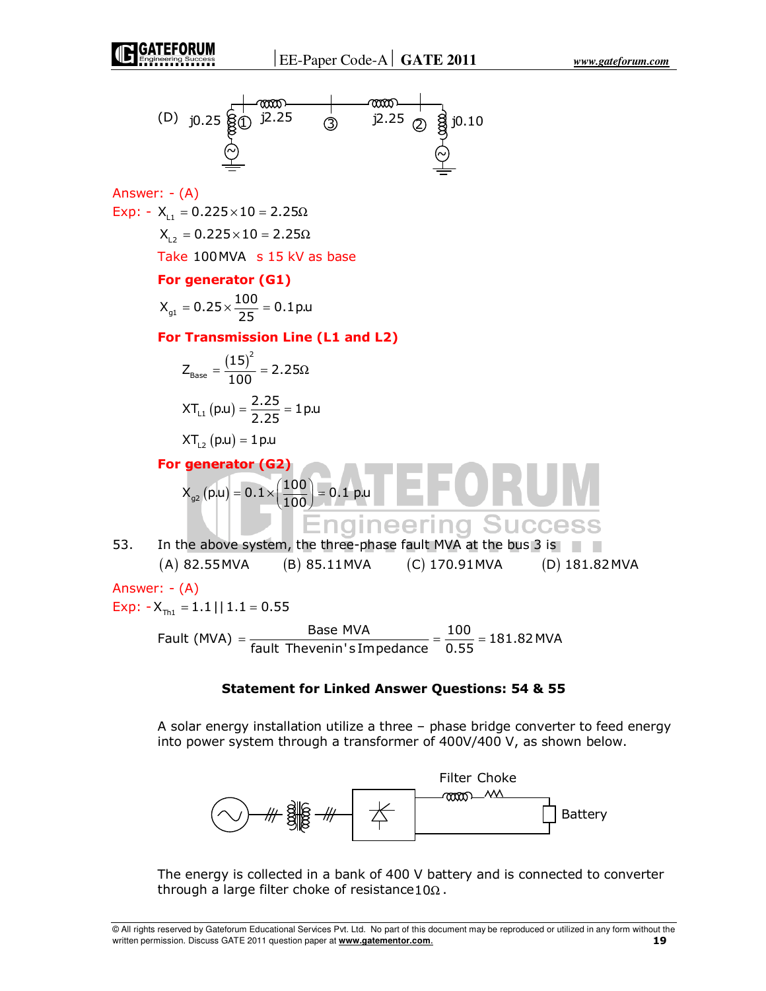

Answer: - (A) Exp: -  $X_{L1} = 0.225 \times 10 = 2.25 \Omega$  $X_{12} = 0.225 \times 10 = 2.25 \Omega$ Take 100MVA s 15 kV as base

#### **For generator (G1)**

$$
X_{\text{gl}} = 0.25 \times \frac{100}{25} = 0.1 \,\text{p.u}
$$

**For Transmission Line (L1 and L2)** 

$$
Z_{\text{Base}} = \frac{(15)^2}{100} = 2.25\Omega
$$

$$
XT_{\text{L1}}(p.u) = \frac{2.25}{2.25} = 1 p.u
$$

 $XT_{12} ( p.u ) = 1 p.u$ 

 **For generator (G2)**  $\bm{\mathsf{X}}_{_{\bm{9}^{\boldsymbol{2}}}}\!\left(\bm{{\mathsf{p}}}.\bm{\mathsf{u}}\right)=\bm{0}.\bm{1} \!\times\!\! \left(\frac{\bm{100}}{\bm{100}}\right)\bm{=0}.\bm{1}$  p.u  $= 0.1 \times \left(\frac{100}{100}\right) =$ **Engineering Success** 

53. In the above system, the three-phase fault MVA at the bus 3 is (A) 82.55MVA (B) 85.11MVA (C) 170.91MVA (D) 181.82MVA

Answer: - (A)

Exp:  $-X_{\text{th}} = 1.1 || 1.1 = 0.55$ 

Fault (MVA) =  $\frac{\text{Base MVA}}{\text{fault Thevenin's Impedance}} = \frac{100}{0.55} = 181.82 \text{ MVA}$  $=$   $\frac{1000}{1000}$   $=$   $\frac{100}{100}$   $=$   $\frac{100}{100}$   $=$ 

### **Statement for Linked Answer Questions: 54 & 55**

 A solar energy installation utilize a three – phase bridge converter to feed energy into power system through a transformer of 400V/400 V, as shown below.



 The energy is collected in a bank of 400 V battery and is connected to converter through a large filter choke of resistance10 $\Omega$ .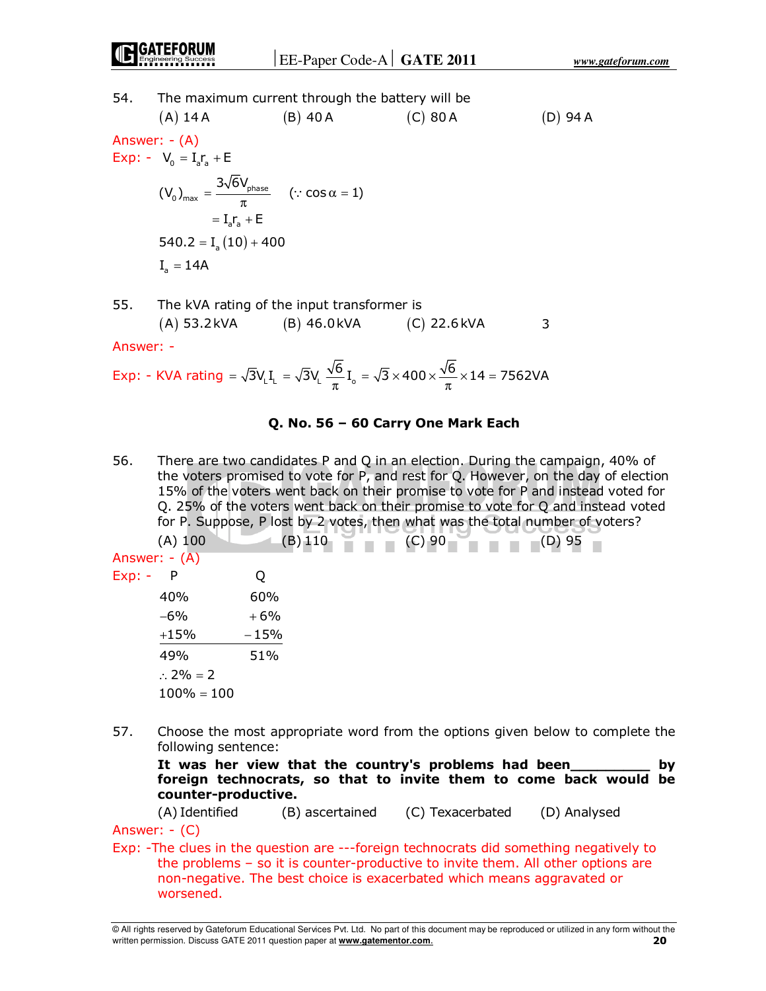## 54. The maximum current through the battery will be

(A) 14 A (B) 40 A (C) 80 A (D) 94 A  
\nAnswer: 
$$
-\frac{A}{A}
$$
  
\nExp:  $-\frac{V_0}{V_0} = I_a r_a + E$   
\n $(V_0)_{max} = \frac{3\sqrt{6}V_{phase}}{\pi}$  (:  $\cos \alpha = 1$ )  
\n $= I_a r_a + E$   
\n540.2 =  $I_a (10) + 400$   
\n $I_a = 14A$  (E)

55. The kVA rating of the input transformer is  $(A) 53.2kVA$   $(B) 46.0kVA$   $(C) 22.6kVA$  3

Answer: -

$$
\text{Exp: - KVA rating} = \sqrt{3}V_L I_L = \sqrt{3}V_L \, \frac{\sqrt{6}}{\pi} I_o = \sqrt{3} \times 400 \times \frac{\sqrt{6}}{\pi} \times 14 = 7562 \text{VA}
$$

## **Q. No. 56 – 60 Carry One Mark Each**

56. There are two candidates P and Q in an election. During the campaign, 40% of the voters promised to vote for P, and rest for Q. However, on the day of election 15% of the voters went back on their promise to vote for P and instead voted for Q. 25% of the voters went back on their promise to vote for Q and instead voted for P. Suppose, P lost by 2 votes, then what was the total number of voters?

|          | $(A)$ 100           | (B) 110 | $(C)$ 90 | $-$ (D) 95 |
|----------|---------------------|---------|----------|------------|
|          | Answer: - (A)       |         |          |            |
| $Exp: -$ | - P                 | Q       |          |            |
|          | 40%                 | 60%     |          |            |
|          | $-6%$               | $+6%$   |          |            |
|          | $+15%$              | $-15%$  |          |            |
|          | 49%                 | 51%     |          |            |
|          | $\therefore$ 2% = 2 |         |          |            |
|          | $100\% = 100$       |         |          |            |

57. Choose the most appropriate word from the options given below to complete the following sentence:

 **It was her view that the country's problems had been\_\_\_\_\_\_\_\_\_ by foreign technocrats, so that to invite them to come back would be counter-productive.** 

(A) Identified (B) ascertained (C) Texacerbated (D) Analysed

Answer: - (C) Exp: -The clues in the question are ---foreign technocrats did something negatively to the problems – so it is counter-productive to invite them. All other options are non-negative. The best choice is exacerbated which means aggravated or worsened.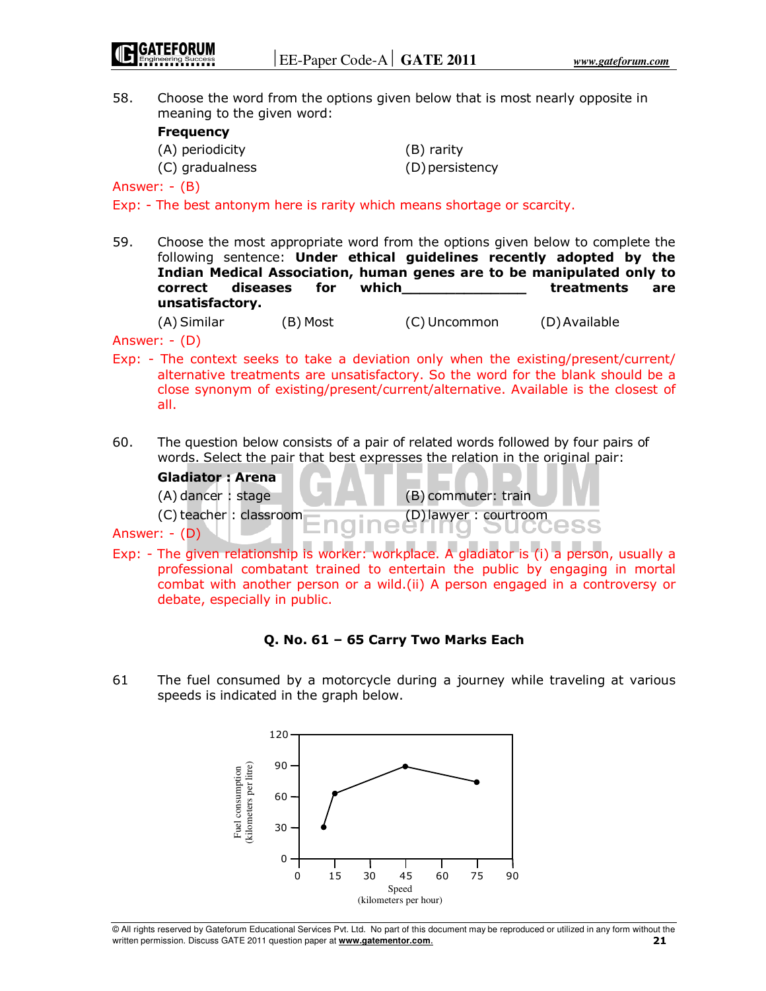58. Choose the word from the options given below that is most nearly opposite in meaning to the given word:

## **Frequency**

| (A) periodicity | (B) rarity      |
|-----------------|-----------------|
| (C) gradualness | (D) persistency |

Answer: - (B)

Exp: - The best antonym here is rarity which means shortage or scarcity.

59. Choose the most appropriate word from the options given below to complete the following sentence: **Under ethical guidelines recently adopted by the Indian Medical Association, human genes are to be manipulated only to correct diseases for which\_\_\_\_\_\_\_\_\_\_\_\_\_\_ treatments are unsatisfactory.** 

(A) Similar (B) Most (C) Uncommon (D) Available

Answer: - (D)

- Exp: The context seeks to take a deviation only when the existing/present/current/ alternative treatments are unsatisfactory. So the word for the blank should be a close synonym of existing/present/current/alternative. Available is the closest of all.
- 60. The question below consists of a pair of related words followed by four pairs of words. Select the pair that best expresses the relation in the original pair:

**Gladiator : Arena**   $(A)$  dancer : stage  $(B)$  (B) commuter: train (C) teacher : classroom (D) lawyer : courtroom

Answer: - (D)

Exp: - The given relationship is worker: workplace. A gladiator is (i) a person, usually a professional combatant trained to entertain the public by engaging in mortal combat with another person or a wild.(ii) A person engaged in a controversy or debate, especially in public.

## **Q. No. 61 – 65 Carry Two Marks Each**

61 The fuel consumed by a motorcycle during a journey while traveling at various speeds is indicated in the graph below.



<sup>©</sup> All rights reserved by Gateforum Educational Services Pvt. Ltd. No part of this document may be reproduced or utilized in any form without the written permission. Discuss GATE 2011 question paper at **www.gatementor.com**. **21**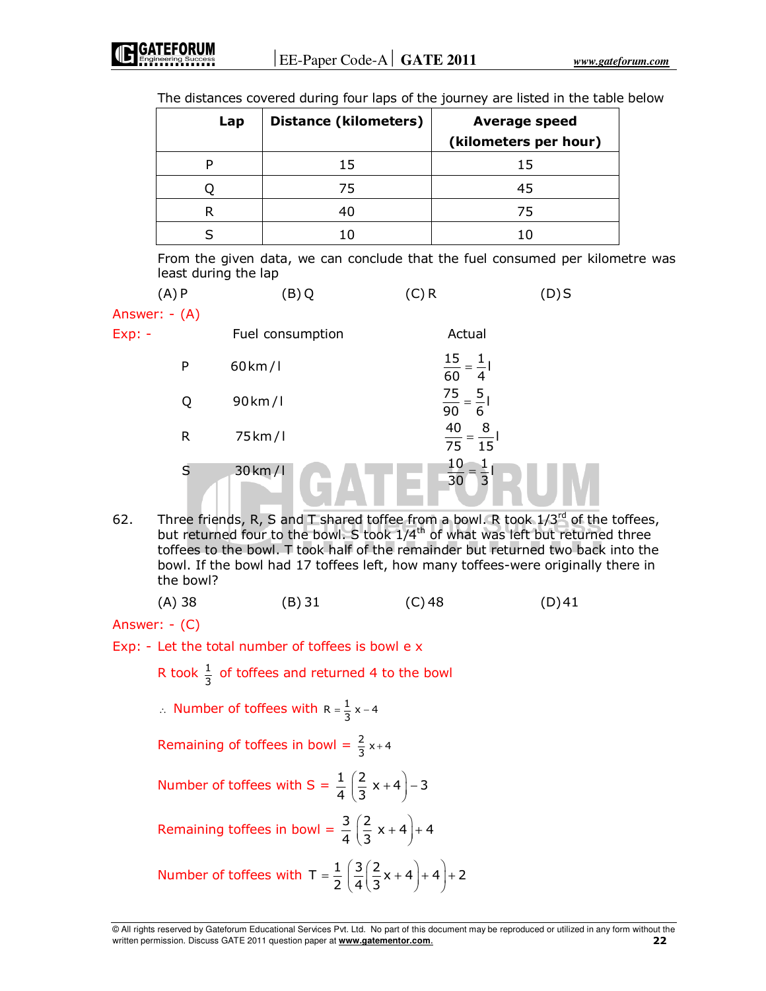| The distances covered during four laps of the journey are listed in the table below |  |  |  |  |  |
|-------------------------------------------------------------------------------------|--|--|--|--|--|
|-------------------------------------------------------------------------------------|--|--|--|--|--|

| Lap | <b>Distance (kilometers)</b> | <b>Average speed</b><br>(kilometers per hour) |
|-----|------------------------------|-----------------------------------------------|
|     | 15                           | 15                                            |
|     | 75                           | 45                                            |
|     | 40                           | 75                                            |
|     |                              |                                               |

 From the given data, we can conclude that the fuel consumed per kilometre was least during the lap

| (A)P          | (B)Q                 | (C) R                                   | $(D)$ S |
|---------------|----------------------|-----------------------------------------|---------|
| Answer: - (A) |                      |                                         |         |
| $Exp: -$      | Fuel consumption     | Actual                                  |         |
| P             | $60$ km / l          | $\frac{15}{60} = \frac{1}{4}$           |         |
| Q             | $90 \,\mathrm{km}/1$ | $\frac{75}{90} = \frac{5}{6}$           |         |
| R             | 75 km/l              | $\frac{40}{75} = \frac{8}{15}$          |         |
| S             | 30 km/l              | 10<br>$\overline{3}$<br>$\overline{30}$ |         |

62. Three friends, R, S and T shared toffee from a bowl. R took  $1/3^{rd}$  of the toffees, but returned four to the bowl. S took 1/4<sup>th</sup> of what was left but returned three toffees to the bowl. T took half of the remainder but returned two back into the bowl. If the bowl had 17 toffees left, how many toffees-were originally there in the bowl?

| (A) 38 | (B) 31 | $(C)$ 48 | $(D)$ 41 |
|--------|--------|----------|----------|
|        |        |          |          |

Answer: - (C)

Exp: - Let the total number of toffees is bowl e x

R took  $\frac{1}{3}$  of toffees and returned 4 to the bowl

∴ Number of toffees with  $R = \frac{1}{3}x - 4$ 

Remaining of toffees in bowl = 
$$
\frac{2}{3}x+4
$$

Number of toffees with S = 
$$
\frac{1}{4} \left( \frac{2}{3} x + 4 \right) - 3
$$

Remaining toffees in bowl =  $\frac{3}{4} \left( \frac{2}{3} x + 4 \right) + 4$  $\left(\frac{2}{3}x+4\right)+$ 

Number of toffees with 
$$
T = \frac{1}{2} \left( \frac{3}{4} \left( \frac{2}{3} x + 4 \right) + 4 \right) + 2
$$